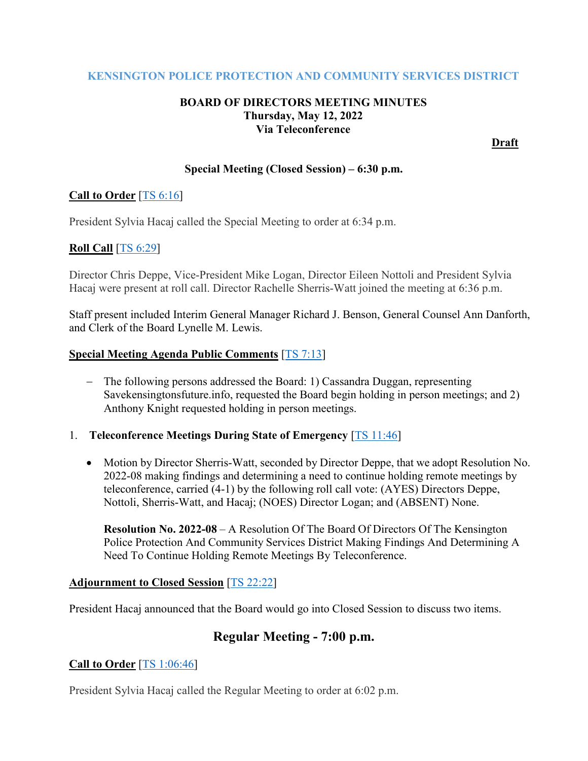### **KENSINGTON POLICE PROTECTION AND COMMUNITY SERVICES DISTRICT**

## **BOARD OF DIRECTORS MEETING MINUTES Thursday, May 12, 2022 Via Teleconference**

**Draft**

### **Special Meeting (Closed Session) – 6:30 p.m.**

## **Call to Order** [\[TS 6:16\]](https://youtu.be/teokCw_RFFk?t=376)

President Sylvia Hacaj called the Special Meeting to order at 6:34 p.m.

## **Roll Call** [\[TS 6:29\]](https://youtu.be/teokCw_RFFk?t=389)

Director Chris Deppe, Vice-President Mike Logan, Director Eileen Nottoli and President Sylvia Hacaj were present at roll call. Director Rachelle Sherris-Watt joined the meeting at 6:36 p.m.

Staff present included Interim General Manager Richard J. Benson, General Counsel Ann Danforth, and Clerk of the Board Lynelle M. Lewis.

#### **Special Meeting Agenda Public Comments** [\[TS 7:13\]](https://youtu.be/teokCw_RFFk?t=433)

− The following persons addressed the Board: 1) Cassandra Duggan, representing Savekensingtonsfuture.info, requested the Board begin holding in person meetings; and 2) Anthony Knight requested holding in person meetings.

#### 1. **Teleconference Meetings During State of Emergency** [\[TS 11:46\]](https://youtu.be/teokCw_RFFk?t=706)

• Motion by Director Sherris-Watt, seconded by Director Deppe, that we adopt Resolution No. 2022-08 making findings and determining a need to continue holding remote meetings by teleconference, carried (4-1) by the following roll call vote: (AYES) Directors Deppe, Nottoli, Sherris-Watt, and Hacaj; (NOES) Director Logan; and (ABSENT) None.

**Resolution No. 2022-08** – A Resolution Of The Board Of Directors Of The Kensington Police Protection And Community Services District Making Findings And Determining A Need To Continue Holding Remote Meetings By Teleconference.

#### **Adjournment to Closed Session** [\[TS 22:22\]](https://youtu.be/teokCw_RFFk?t=1342)

President Hacaj announced that the Board would go into Closed Session to discuss two items.

# **Regular Meeting - 7:00 p.m.**

## **Call to Order** [\[TS 1:06:46\]](https://youtu.be/teokCw_RFFk?t=4006)

President Sylvia Hacaj called the Regular Meeting to order at 6:02 p.m.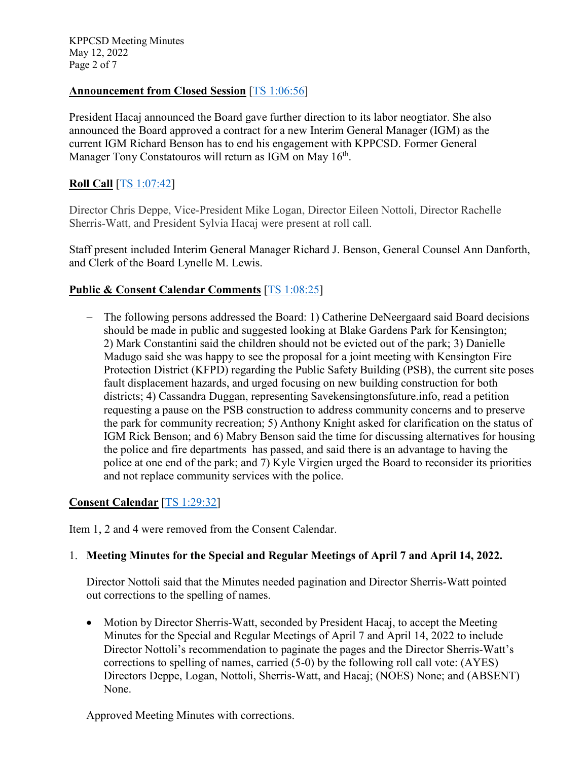KPPCSD Meeting Minutes May 12, 2022 Page 2 of 7

## **Announcement from Closed Session** [\[TS 1:06:56\]](https://youtu.be/teokCw_RFFk?t=4016)

President Hacaj announced the Board gave further direction to its labor neogtiator. She also announced the Board approved a contract for a new Interim General Manager (IGM) as the current IGM Richard Benson has to end his engagement with KPPCSD. Former General Manager Tony Constatouros will return as IGM on May 16<sup>th</sup>.

## **Roll Call** [\[TS 1:07:42\]](https://youtu.be/teokCw_RFFk?t=4062)

Director Chris Deppe, Vice-President Mike Logan, Director Eileen Nottoli, Director Rachelle Sherris-Watt, and President Sylvia Hacaj were present at roll call.

Staff present included Interim General Manager Richard J. Benson, General Counsel Ann Danforth, and Clerk of the Board Lynelle M. Lewis.

## **Public & Consent Calendar Comments** [\[TS 1:08:25\]](https://youtu.be/teokCw_RFFk?t=4105)

− The following persons addressed the Board: 1) Catherine DeNeergaard said Board decisions should be made in public and suggested looking at Blake Gardens Park for Kensington; 2) Mark Constantini said the children should not be evicted out of the park; 3) Danielle Madugo said she was happy to see the proposal for a joint meeting with Kensington Fire Protection District (KFPD) regarding the Public Safety Building (PSB), the current site poses fault displacement hazards, and urged focusing on new building construction for both districts; 4) Cassandra Duggan, representing Savekensingtonsfuture.info, read a petition requesting a pause on the PSB construction to address community concerns and to preserve the park for community recreation; 5) Anthony Knight asked for clarification on the status of IGM Rick Benson; and 6) Mabry Benson said the time for discussing alternatives for housing the police and fire departments has passed, and said there is an advantage to having the police at one end of the park; and 7) Kyle Virgien urged the Board to reconsider its priorities and not replace community services with the police.

## **Consent Calendar** [\[TS 1:29:32\]](https://youtu.be/teokCw_RFFk?t=5372)

Item 1, 2 and 4 were removed from the Consent Calendar.

## 1. **Meeting Minutes for the Special and Regular Meetings of April 7 and April 14, 2022.**

Director Nottoli said that the Minutes needed pagination and Director Sherris-Watt pointed out corrections to the spelling of names.

• Motion by Director Sherris-Watt, seconded by President Hacaj, to accept the Meeting Minutes for the Special and Regular Meetings of April 7 and April 14, 2022 to include Director Nottoli's recommendation to paginate the pages and the Director Sherris-Watt's corrections to spelling of names, carried (5-0) by the following roll call vote: (AYES) Directors Deppe, Logan, Nottoli, Sherris-Watt, and Hacaj; (NOES) None; and (ABSENT) None.

Approved Meeting Minutes with corrections.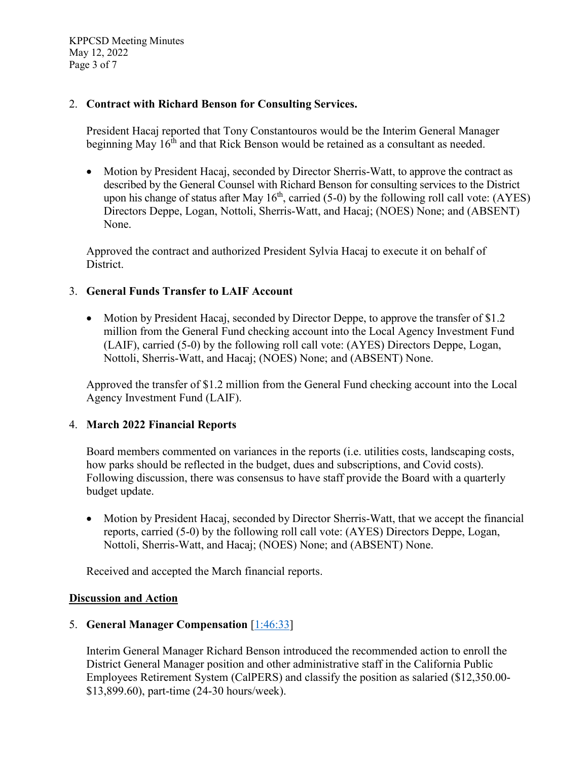KPPCSD Meeting Minutes May 12, 2022 Page 3 of 7

### 2. **Contract with Richard Benson for Consulting Services.**

President Hacaj reported that Tony Constantouros would be the Interim General Manager beginning May 16<sup>th</sup> and that Rick Benson would be retained as a consultant as needed.

• Motion by President Hacaj, seconded by Director Sherris-Watt, to approve the contract as described by the General Counsel with Richard Benson for consulting services to the District upon his change of status after May  $16<sup>th</sup>$ , carried (5-0) by the following roll call vote: (AYES) Directors Deppe, Logan, Nottoli, Sherris-Watt, and Hacaj; (NOES) None; and (ABSENT) None.

Approved the contract and authorized President Sylvia Hacaj to execute it on behalf of District.

### 3. **General Funds Transfer to LAIF Account**

• Motion by President Hacaj, seconded by Director Deppe, to approve the transfer of \$1.2 million from the General Fund checking account into the Local Agency Investment Fund (LAIF), carried (5-0) by the following roll call vote: (AYES) Directors Deppe, Logan, Nottoli, Sherris-Watt, and Hacaj; (NOES) None; and (ABSENT) None.

Approved the transfer of \$1.2 million from the General Fund checking account into the Local Agency Investment Fund (LAIF).

## 4. **March 2022 Financial Reports**

Board members commented on variances in the reports (i.e. utilities costs, landscaping costs, how parks should be reflected in the budget, dues and subscriptions, and Covid costs). Following discussion, there was consensus to have staff provide the Board with a quarterly budget update.

• Motion by President Hacaj, seconded by Director Sherris-Watt, that we accept the financial reports, carried (5-0) by the following roll call vote: (AYES) Directors Deppe, Logan, Nottoli, Sherris-Watt, and Hacaj; (NOES) None; and (ABSENT) None.

Received and accepted the March financial reports.

#### **Discussion and Action**

## 5. **General Manager Compensation** [\[1:46:33\]](https://youtu.be/teokCw_RFFk?t=6393)

Interim General Manager Richard Benson introduced the recommended action to enroll the District General Manager position and other administrative staff in the California Public Employees Retirement System (CalPERS) and classify the position as salaried (\$12,350.00- \$13,899.60), part-time (24-30 hours/week).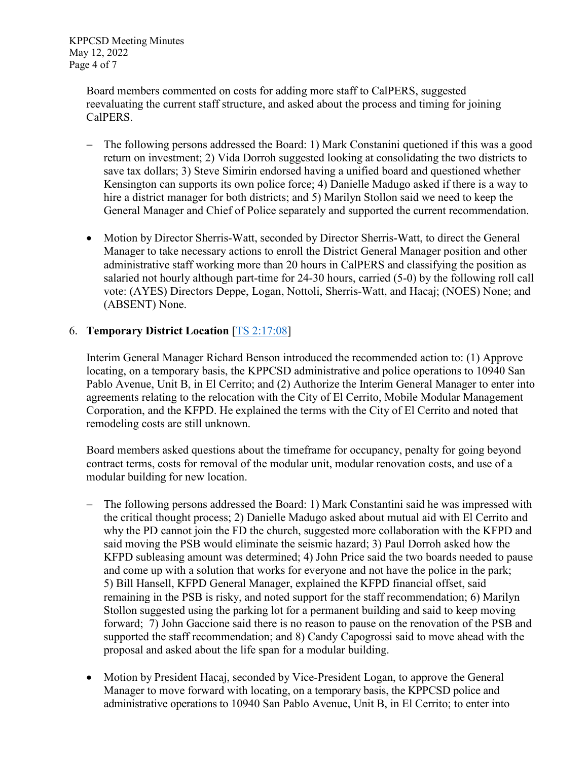KPPCSD Meeting Minutes May 12, 2022 Page 4 of 7

> Board members commented on costs for adding more staff to CalPERS, suggested reevaluating the current staff structure, and asked about the process and timing for joining CalPERS.

- − The following persons addressed the Board: 1) Mark Constanini quetioned if this was a good return on investment; 2) Vida Dorroh suggested looking at consolidating the two districts to save tax dollars; 3) Steve Simirin endorsed having a unified board and questioned whether Kensington can supports its own police force; 4) Danielle Madugo asked if there is a way to hire a district manager for both districts; and 5) Marilyn Stollon said we need to keep the General Manager and Chief of Police separately and supported the current recommendation.
- Motion by Director Sherris-Watt, seconded by Director Sherris-Watt, to direct the General Manager to take necessary actions to enroll the District General Manager position and other administrative staff working more than 20 hours in CalPERS and classifying the position as salaried not hourly although part-time for 24-30 hours, carried (5-0) by the following roll call vote: (AYES) Directors Deppe, Logan, Nottoli, Sherris-Watt, and Hacaj; (NOES) None; and (ABSENT) None.

## 6. **Temporary District Location** [\[TS 2:17:08\]](https://youtu.be/teokCw_RFFk?t=8228)

Interim General Manager Richard Benson introduced the recommended action to: (1) Approve locating, on a temporary basis, the KPPCSD administrative and police operations to 10940 San Pablo Avenue, Unit B, in El Cerrito; and (2) Authorize the Interim General Manager to enter into agreements relating to the relocation with the City of El Cerrito, Mobile Modular Management Corporation, and the KFPD. He explained the terms with the City of El Cerrito and noted that remodeling costs are still unknown.

Board members asked questions about the timeframe for occupancy, penalty for going beyond contract terms, costs for removal of the modular unit, modular renovation costs, and use of a modular building for new location.

- − The following persons addressed the Board: 1) Mark Constantini said he was impressed with the critical thought process; 2) Danielle Madugo asked about mutual aid with El Cerrito and why the PD cannot join the FD the church, suggested more collaboration with the KFPD and said moving the PSB would eliminate the seismic hazard; 3) Paul Dorroh asked how the KFPD subleasing amount was determined; 4) John Price said the two boards needed to pause and come up with a solution that works for everyone and not have the police in the park; 5) Bill Hansell, KFPD General Manager, explained the KFPD financial offset, said remaining in the PSB is risky, and noted support for the staff recommendation; 6) Marilyn Stollon suggested using the parking lot for a permanent building and said to keep moving forward; 7) John Gaccione said there is no reason to pause on the renovation of the PSB and supported the staff recommendation; and 8) Candy Capogrossi said to move ahead with the proposal and asked about the life span for a modular building.
- Motion by President Hacaj, seconded by Vice-President Logan, to approve the General Manager to move forward with locating, on a temporary basis, the KPPCSD police and administrative operations to 10940 San Pablo Avenue, Unit B, in El Cerrito; to enter into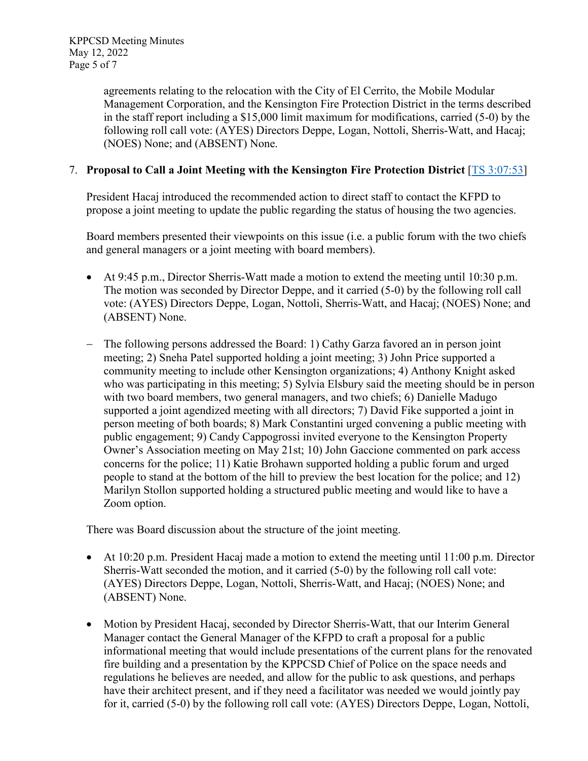agreements relating to the relocation with the City of El Cerrito, the Mobile Modular Management Corporation, and the Kensington Fire Protection District in the terms described in the staff report including a \$15,000 limit maximum for modifications, carried (5-0) by the following roll call vote: (AYES) Directors Deppe, Logan, Nottoli, Sherris-Watt, and Hacaj; (NOES) None; and (ABSENT) None.

## 7. **Proposal to Call a Joint Meeting with the Kensington Fire Protection District** [\[TS 3:07:53\]](https://youtu.be/teokCw_RFFk?t=11273)

President Hacaj introduced the recommended action to direct staff to contact the KFPD to propose a joint meeting to update the public regarding the status of housing the two agencies.

Board members presented their viewpoints on this issue (i.e. a public forum with the two chiefs and general managers or a joint meeting with board members).

- At 9:45 p.m., Director Sherris-Watt made a motion to extend the meeting until 10:30 p.m. The motion was seconded by Director Deppe, and it carried (5-0) by the following roll call vote: (AYES) Directors Deppe, Logan, Nottoli, Sherris-Watt, and Hacaj; (NOES) None; and (ABSENT) None.
- The following persons addressed the Board: 1) Cathy Garza favored an in person joint meeting; 2) Sneha Patel supported holding a joint meeting; 3) John Price supported a community meeting to include other Kensington organizations; 4) Anthony Knight asked who was participating in this meeting; 5) Sylvia Elsbury said the meeting should be in person with two board members, two general managers, and two chiefs; 6) Danielle Madugo supported a joint agendized meeting with all directors; 7) David Fike supported a joint in person meeting of both boards; 8) Mark Constantini urged convening a public meeting with public engagement; 9) Candy Cappogrossi invited everyone to the Kensington Property Owner's Association meeting on May 21st; 10) John Gaccione commented on park access concerns for the police; 11) Katie Brohawn supported holding a public forum and urged people to stand at the bottom of the hill to preview the best location for the police; and 12) Marilyn Stollon supported holding a structured public meeting and would like to have a Zoom option.

There was Board discussion about the structure of the joint meeting.

- At 10:20 p.m. President Hacaj made a motion to extend the meeting until 11:00 p.m. Director Sherris-Watt seconded the motion, and it carried (5-0) by the following roll call vote: (AYES) Directors Deppe, Logan, Nottoli, Sherris-Watt, and Hacaj; (NOES) None; and (ABSENT) None.
- Motion by President Hacaj, seconded by Director Sherris-Watt, that our Interim General Manager contact the General Manager of the KFPD to craft a proposal for a public informational meeting that would include presentations of the current plans for the renovated fire building and a presentation by the KPPCSD Chief of Police on the space needs and regulations he believes are needed, and allow for the public to ask questions, and perhaps have their architect present, and if they need a facilitator was needed we would jointly pay for it, carried (5-0) by the following roll call vote: (AYES) Directors Deppe, Logan, Nottoli,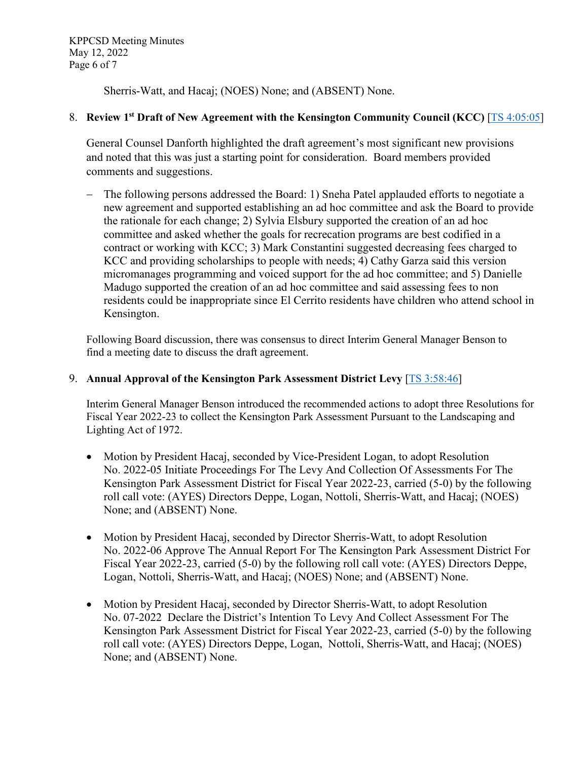KPPCSD Meeting Minutes May 12, 2022 Page 6 of 7

Sherris-Watt, and Hacaj; (NOES) None; and (ABSENT) None.

### 8. **Review 1st Draft of New Agreement with the Kensington Community Council (KCC)** [\[TS 4:05:05\]](https://youtu.be/teokCw_RFFk?t=14705)

General Counsel Danforth highlighted the draft agreement's most significant new provisions and noted that this was just a starting point for consideration. Board members provided comments and suggestions.

− The following persons addressed the Board: 1) Sneha Patel applauded efforts to negotiate a new agreement and supported establishing an ad hoc committee and ask the Board to provide the rationale for each change; 2) Sylvia Elsbury supported the creation of an ad hoc committee and asked whether the goals for recrecation programs are best codified in a contract or working with KCC; 3) Mark Constantini suggested decreasing fees charged to KCC and providing scholarships to people with needs; 4) Cathy Garza said this version micromanages programming and voiced support for the ad hoc committee; and 5) Danielle Madugo supported the creation of an ad hoc committee and said assessing fees to non residents could be inappropriate since El Cerrito residents have children who attend school in Kensington.

Following Board discussion, there was consensus to direct Interim General Manager Benson to find a meeting date to discuss the draft agreement.

### 9. **Annual Approval of the Kensington Park Assessment District Levy** [\[TS 3:58:46\]](https://youtu.be/teokCw_RFFk?t=14326)

Interim General Manager Benson introduced the recommended actions to adopt three Resolutions for Fiscal Year 2022-23 to collect the Kensington Park Assessment Pursuant to the Landscaping and Lighting Act of 1972.

- Motion by President Hacaj, seconded by Vice-President Logan, to adopt Resolution No. 2022-05 Initiate Proceedings For The Levy And Collection Of Assessments For The Kensington Park Assessment District for Fiscal Year 2022-23, carried (5-0) by the following roll call vote: (AYES) Directors Deppe, Logan, Nottoli, Sherris-Watt, and Hacaj; (NOES) None; and (ABSENT) None.
- Motion by President Hacaj, seconded by Director Sherris-Watt, to adopt Resolution No. 2022-06 Approve The Annual Report For The Kensington Park Assessment District For Fiscal Year 2022-23, carried (5-0) by the following roll call vote: (AYES) Directors Deppe, Logan, Nottoli, Sherris-Watt, and Hacaj; (NOES) None; and (ABSENT) None.
- Motion by President Hacaj, seconded by Director Sherris-Watt, to adopt Resolution No. 07-2022 Declare the District's Intention To Levy And Collect Assessment For The Kensington Park Assessment District for Fiscal Year 2022-23, carried (5-0) by the following roll call vote: (AYES) Directors Deppe, Logan, Nottoli, Sherris-Watt, and Hacaj; (NOES) None; and (ABSENT) None.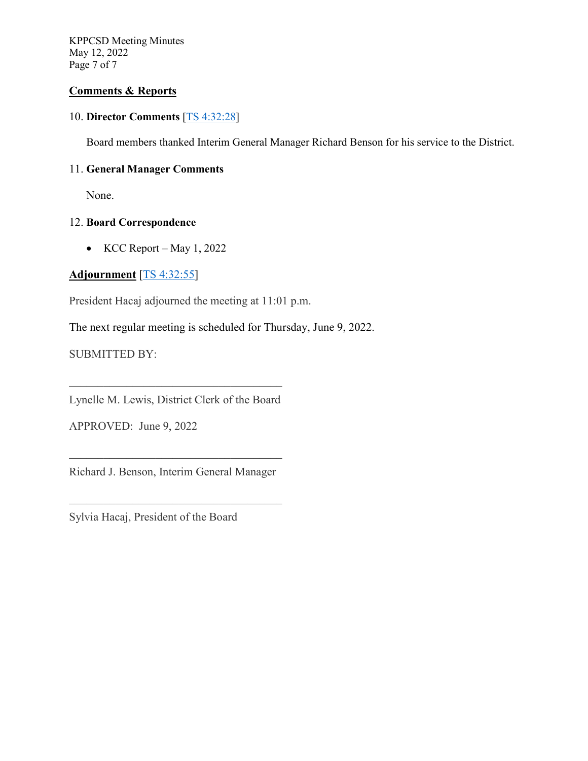KPPCSD Meeting Minutes May 12, 2022 Page 7 of 7

### **Comments & Reports**

## 10. **Director Comments** [\[TS 4:32:28\]](https://youtu.be/teokCw_RFFk?t=16348)

Board members thanked Interim General Manager Richard Benson for his service to the District.

## 11. **General Manager Comments**

None.

### 12. **Board Correspondence**

• KCC Report – May 1, 2022

## **Adjournment** [\[TS 4:32:55\]](https://youtu.be/teokCw_RFFk?t=16375)

President Hacaj adjourned the meeting at 11:01 p.m.

The next regular meeting is scheduled for Thursday, June 9, 2022.

SUBMITTED BY:

 $\mathcal{L}_\text{max}$  and  $\mathcal{L}_\text{max}$  and  $\mathcal{L}_\text{max}$  and  $\mathcal{L}_\text{max}$ Lynelle M. Lewis, District Clerk of the Board

APPROVED: June 9, 2022

Richard J. Benson, Interim General Manager

 $\mathcal{L}_\text{max}$  , and the set of the set of the set of the set of the set of the set of the set of the set of the set of the set of the set of the set of the set of the set of the set of the set of the set of the set of the

\_\_\_\_\_\_\_\_\_\_\_\_\_\_\_\_\_\_\_\_\_\_\_\_\_\_\_\_\_\_\_\_\_\_\_\_\_

Sylvia Hacaj, President of the Board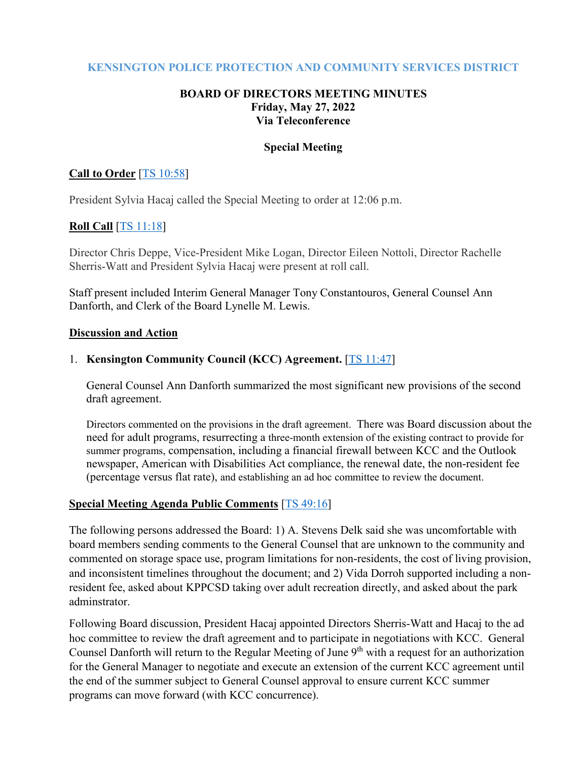## **KENSINGTON POLICE PROTECTION AND COMMUNITY SERVICES DISTRICT**

#### **BOARD OF DIRECTORS MEETING MINUTES Friday, May 27, 2022 Via Teleconference**

#### **Special Meeting**

### **Call to Order** [\[TS 10:58\]](https://youtu.be/AuryNAEx6dQ?t=658)

President Sylvia Hacaj called the Special Meeting to order at 12:06 p.m.

### **Roll Call** [TS [11:18\]](https://youtu.be/AuryNAEx6dQ?t=678)

Director Chris Deppe, Vice-President Mike Logan, Director Eileen Nottoli, Director Rachelle Sherris-Watt and President Sylvia Hacaj were present at roll call.

Staff present included Interim General Manager Tony Constantouros, General Counsel Ann Danforth, and Clerk of the Board Lynelle M. Lewis.

#### **Discussion and Action**

#### 1. **Kensington Community Council (KCC) Agreement.** [\[TS 11:47\]](https://youtu.be/AuryNAEx6dQ?t=707)

General Counsel Ann Danforth summarized the most significant new provisions of the second draft agreement.

Directors commented on the provisions in the draft agreement. There was Board discussion about the need for adult programs, resurrecting a three-month extension of the existing contract to provide for summer programs, compensation, including a financial firewall between KCC and the Outlook newspaper, American with Disabilities Act compliance, the renewal date, the non-resident fee (percentage versus flat rate), and establishing an ad hoc committee to review the document.

#### **Special Meeting Agenda Public Comments** [TS [49:16\]](https://youtu.be/AuryNAEx6dQ?t=2956)

The following persons addressed the Board: 1) A. Stevens Delk said she was uncomfortable with board members sending comments to the General Counsel that are unknown to the community and commented on storage space use, program limitations for non-residents, the cost of living provision, and inconsistent timelines throughout the document; and 2) Vida Dorroh supported including a nonresident fee, asked about KPPCSD taking over adult recreation directly, and asked about the park adminstrator.

Following Board discussion, President Hacaj appointed Directors Sherris-Watt and Hacaj to the ad hoc committee to review the draft agreement and to participate in negotiations with KCC. General Counsel Danforth will return to the Regular Meeting of June 9<sup>th</sup> with a request for an authorization for the General Manager to negotiate and execute an extension of the current KCC agreement until the end of the summer subject to General Counsel approval to ensure current KCC summer programs can move forward (with KCC concurrence).